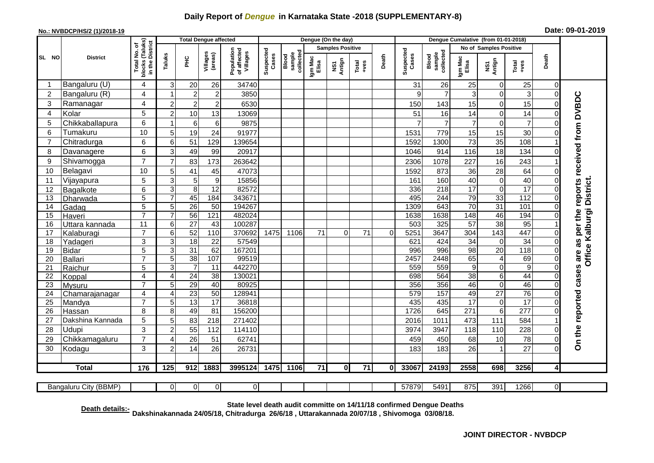## **Daily Report of** *Dengue* **in Karnataka State -2018 (SUPPLEMENTARY-8)**

## **No.: NVBDCP/HS/2 (1)/2018-19**

| Date: 09-01-2019 |  |  |  |
|------------------|--|--|--|
|------------------|--|--|--|

|                 |                       |                                                    | <b>Total Dengue affected</b> |                                   |                       |                                       |                    |                              |                  | Dengue (On the day)     |                 |          |                    |                              |                      |                        |                      |                         |                                                                  |
|-----------------|-----------------------|----------------------------------------------------|------------------------------|-----------------------------------|-----------------------|---------------------------------------|--------------------|------------------------------|------------------|-------------------------|-----------------|----------|--------------------|------------------------------|----------------------|------------------------|----------------------|-------------------------|------------------------------------------------------------------|
|                 |                       |                                                    |                              |                                   |                       |                                       |                    |                              |                  | <b>Samples Positive</b> |                 |          |                    |                              |                      | No of Samples Positive |                      |                         |                                                                  |
| SL NO           | <b>District</b>       | Total No. of<br>blocks (Taluks)<br>in the District | Taluks                       | 오<br>도                            | Villages<br>(areas)   | Population<br>of affected<br>Villages | Suspected<br>Cases | collected<br>sample<br>Blood | Igm Mac<br>Elisa | NS1<br>Antign           | Total<br>+ves   | Death    | Suspected<br>Cases | collected<br>sample<br>Blood | Igm Mac<br>Elisa     | NS1<br>Antign          | Total<br>+ves        | Death                   |                                                                  |
| -1              | Bangaluru (U)         | 4                                                  | 3                            | 20                                | 26                    | 34740                                 |                    |                              |                  |                         |                 |          | 31                 | 26                           | 25                   | 0                      | 25                   | $\Omega$                |                                                                  |
| $\overline{2}$  | Bangaluru (R)         | $\overline{4}$                                     |                              | $\overline{2}$                    | $\overline{c}$        | 3850                                  |                    |                              |                  |                         |                 |          | 9                  | $\overline{7}$               | 3                    | $\mathbf 0$            | 3                    | $\Omega$                |                                                                  |
| 3               | Ramanagar             | $\overline{\mathbf{4}}$                            | $\overline{2}$               | $\overline{c}$                    | $\overline{c}$        | 6530                                  |                    |                              |                  |                         |                 |          | 150                | 143                          | 15                   | $\mathbf 0$            | 15                   | $\Omega$                | On the reported cases are as per the reports received from DVBDC |
| 4               | Kolar                 | 5                                                  | $\overline{2}$               | 10                                | 13                    | 13069                                 |                    |                              |                  |                         |                 |          | 51                 | 16                           | 14                   | $\mathbf 0$            | 14                   | $\Omega$                |                                                                  |
| 5               | Chikkaballapura       | 6                                                  | 1                            | 6                                 | $6\phantom{1}6$       | 9875                                  |                    |                              |                  |                         |                 |          |                    | $\overline{7}$               | $\overline{7}$       | $\mathbf 0$            | $\overline{7}$       | $\Omega$                |                                                                  |
| 6               | Tumakuru              | 10                                                 | 5                            | 19                                | 24                    | 91977                                 |                    |                              |                  |                         |                 |          | 153'               | 779                          | 15                   | 15                     | 30                   | $\Omega$                |                                                                  |
| $\overline{7}$  | Chitradurga           | 6                                                  | 6                            | 51                                | 129                   | 139654                                |                    |                              |                  |                         |                 |          | 1592               | 1300                         | 73                   | 35                     | 108                  |                         |                                                                  |
| 8               | Davanagere            | 6                                                  | 3                            | 49                                | 99                    | 20917                                 |                    |                              |                  |                         |                 |          | 1046               | 914                          | 116                  | 18                     | 134                  | $\Omega$                |                                                                  |
| 9               | Shivamogga            | $\overline{7}$                                     | $\overline{7}$               | 83                                | 173                   | 263642                                |                    |                              |                  |                         |                 |          | 2306               | 1078                         | 227                  | 16                     | 243                  |                         |                                                                  |
| 10              | Belagavi              | 10                                                 | 5                            | 41                                | 45                    | 47073                                 |                    |                              |                  |                         |                 |          | 1592               | 873                          | 36                   | 28                     | 64                   | $\Omega$                |                                                                  |
| 11              | Vijayapura            | 5                                                  | 3 <sup>1</sup>               | 5                                 | $\boldsymbol{9}$      | 15856                                 |                    |                              |                  |                         |                 |          | 161                | 160                          | 40                   | $\mathbf 0$            | 40                   | $\Omega$                |                                                                  |
| 12              | Bagalkote             | 6                                                  | $\overline{3}$               | $\, 8$                            | $\overline{12}$       | 82572                                 |                    |                              |                  |                         |                 |          | 336                | 218                          | $\overline{17}$      | $\mathbf 0$            | $\overline{17}$      | $\Omega$                | Office Kalburgi District.                                        |
| 13              | Dharwada              | 5                                                  |                              | 45                                | 184                   | 343671                                |                    |                              |                  |                         |                 |          | 495                | 244                          | 79                   | 33                     | 112                  | $\Omega$                |                                                                  |
| $\overline{14}$ | Gadag                 | $\overline{5}$                                     | 5 <sub>1</sub>               | $\overline{26}$                   | 50                    | 194267                                |                    |                              |                  |                         |                 |          | 1309               | 643                          | $\overline{70}$      | 31                     | 101                  | $\Omega$                |                                                                  |
| $\overline{15}$ | Haveri                | $\overline{7}$                                     | $\overline{7}$               | 56                                | 121                   | 482024                                |                    |                              |                  |                         |                 |          | 1638               | 1638                         | 148                  | 46                     | 194                  | $\Omega$                |                                                                  |
| 16              | Uttara kannada        | $\overline{11}$                                    | 6                            | 27                                | 43                    | 100287                                |                    |                              |                  |                         |                 |          | 503                | 325                          | $\overline{57}$      | $\overline{38}$        | 95                   |                         |                                                                  |
| 17              | Kalaburagi            | $\overline{7}$                                     | 6                            | 52                                | 110                   | 370692                                | 1475               | 1106                         | $\overline{71}$  | $\Omega$                | 71              | $\Omega$ | 525'               | 3647                         | 304                  | $\frac{1}{143}$        | 447                  | $\Omega$                |                                                                  |
| 18              | Yadageri              | 3                                                  | 3 <sup>1</sup>               | $\overline{18}$                   | $\overline{22}$       | 57549                                 |                    |                              |                  |                         |                 |          | 621                | 424                          | 34                   | $\pmb{0}$              | 34                   |                         |                                                                  |
| $\overline{19}$ | <b>Bidar</b>          | $\overline{5}$                                     | $\overline{3}$               | $\overline{31}$                   | 62                    | 167201                                |                    |                              |                  |                         |                 |          | 996                | 996                          | $\overline{98}$      | $\overline{20}$        | 118                  | ∩                       |                                                                  |
| 20              | <b>Ballari</b>        | $\overline{7}$                                     | 5                            | $\overline{38}$                   | 107                   | 99519                                 |                    |                              |                  |                         |                 |          | 2457               | 2448                         | 65                   | $\overline{4}$         | 69<br>$\overline{9}$ | $\Omega$                |                                                                  |
| 21<br>22        | Raichur               | $\overline{5}$<br>$\overline{4}$                   | 3<br>4                       | $\overline{7}$<br>$\overline{24}$ | 11<br>$\overline{38}$ | 442270<br>130021                      |                    |                              |                  |                         |                 |          | 559<br>698         | 559<br>564                   | $\overline{9}$<br>38 | $\mathbf 0$<br>6       | $\overline{44}$      | $\Omega$<br>$\Omega$    |                                                                  |
| 23              | Koppal<br>Mysuru      | $\overline{7}$                                     | 5                            | 29                                | 40                    | 80925                                 |                    |                              |                  |                         |                 |          | 356                | 356                          | 46                   | $\mathbf 0$            | 46                   | $\Omega$                |                                                                  |
| 24              | Chamarajanagar        | 4                                                  | 4                            | $\overline{23}$                   | 50                    | 128941                                |                    |                              |                  |                         |                 |          | 579                | 157                          | 49                   | $\overline{27}$        | $\overline{76}$      | $\Omega$                |                                                                  |
| 25              | Mandya                | $\overline{7}$                                     | 5                            | 13                                | $\overline{17}$       | 36818                                 |                    |                              |                  |                         |                 |          | 435                | 435                          | $\overline{17}$      | $\mathbf 0$            | $\overline{17}$      | $\Omega$                |                                                                  |
| 26              | Hassan                | $\overline{8}$                                     | 8                            | 49                                | 81                    | 156200                                |                    |                              |                  |                         |                 |          | 1726               | 645                          | 271                  | $\overline{6}$         | 277                  | $\Omega$                |                                                                  |
| 27              | Dakshina Kannada      | 5                                                  | 5                            | 83                                | 218                   | 271402                                |                    |                              |                  |                         |                 |          | 2016               | 1011                         | 473                  | 111                    | 584                  |                         |                                                                  |
| 28              | Udupi                 | 3                                                  | $\overline{2}$               | 55                                | 112                   | 114110                                |                    |                              |                  |                         |                 |          | 3974               | 3947                         | 118                  | 110                    | 228                  | ∩                       |                                                                  |
| 29              | Chikkamagaluru        | $\overline{7}$                                     |                              | 26                                | 51                    | 62741                                 |                    |                              |                  |                         |                 |          | 459                | 450                          | 68                   | 10                     | 78                   | 0                       |                                                                  |
| 30              | Kodagu                | 3                                                  | $\overline{2}$               | 14                                | 26                    | 26731                                 |                    |                              |                  |                         |                 |          | 183                | 183                          | 26                   | $\overline{1}$         | 27                   | $\Omega$                |                                                                  |
|                 |                       |                                                    |                              |                                   |                       |                                       |                    |                              |                  |                         |                 |          |                    |                              |                      |                        |                      |                         |                                                                  |
|                 | <b>Total</b>          | 176                                                | $\overline{125}$             | 912                               | 1883                  | 3995124                               | 1475               | 1106                         | 71               | 01                      | $\overline{71}$ | $\bf{0}$ | 33067              | 24193                        | 2558                 | 698                    | 3256                 | $\overline{\mathbf{A}}$ |                                                                  |
|                 |                       |                                                    |                              |                                   |                       |                                       |                    |                              |                  |                         |                 |          |                    |                              |                      |                        |                      |                         |                                                                  |
|                 | Bangaluru City (BBMP) |                                                    | $\Omega$                     | $\overline{0}$                    | $\overline{0}$        | $\overline{O}$                        |                    |                              |                  |                         |                 |          | 57879              | 5491                         | 875                  | 391                    | 1266                 | $\overline{0}$          |                                                                  |

**Death details:- State level death audit committe on 14/11/18 confirmed Dengue Deaths Dakshinakannada 24/05/18, Chitradurga 26/6/18 , Uttarakannada 20/07/18 , Shivomoga 03/08/18.**